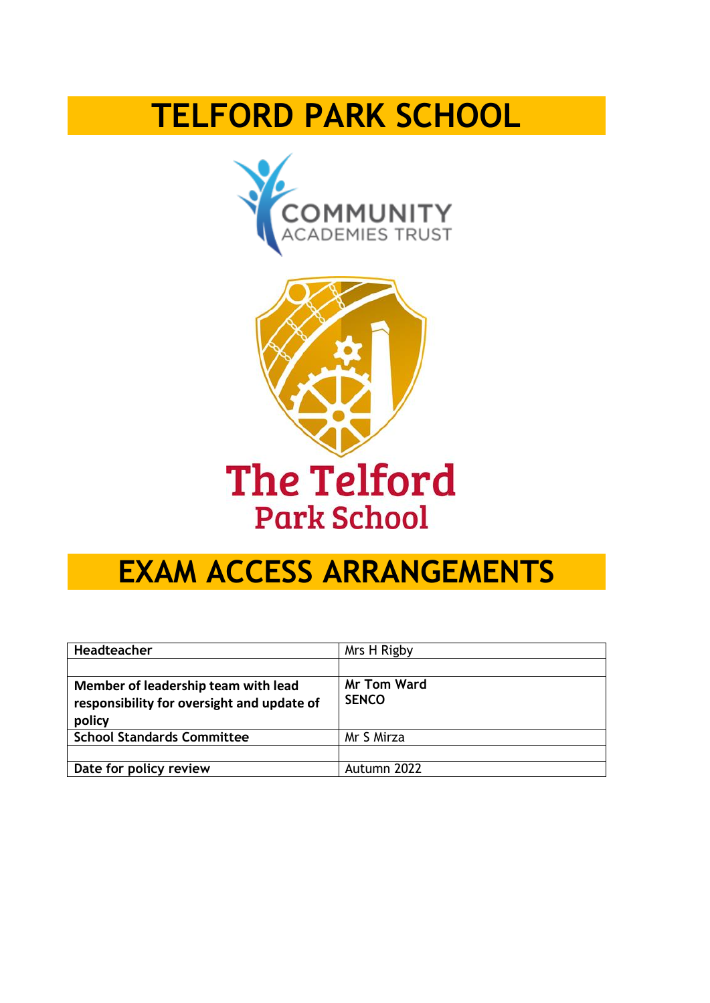# **TELFORD PARK SCHOOL**





# **The Telford Park School**

# **EXAM ACCESS ARRANGEMENTS**

| Headteacher                                                                                 | Mrs H Rigby                        |
|---------------------------------------------------------------------------------------------|------------------------------------|
|                                                                                             |                                    |
| Member of leadership team with lead<br>responsibility for oversight and update of<br>policy | <b>Mr Tom Ward</b><br><b>SENCO</b> |
| <b>School Standards Committee</b>                                                           | Mr S Mirza                         |
|                                                                                             |                                    |
| Date for policy review                                                                      | Autumn 2022                        |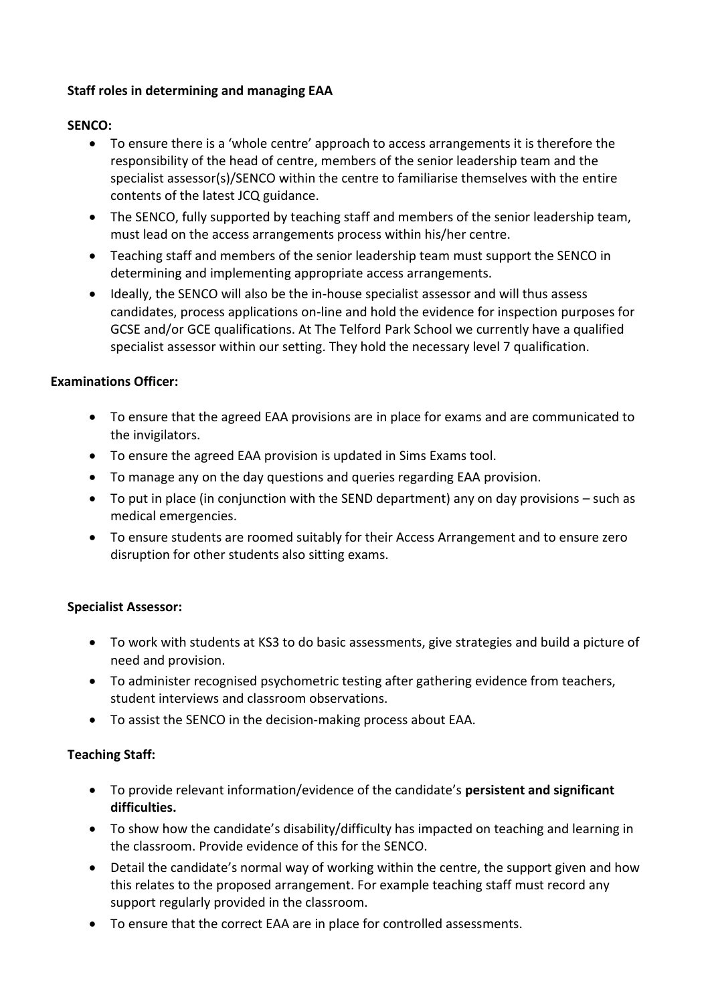# **Staff roles in determining and managing EAA**

# **SENCO:**

- To ensure there is a 'whole centre' approach to access arrangements it is therefore the responsibility of the head of centre, members of the senior leadership team and the specialist assessor(s)/SENCO within the centre to familiarise themselves with the entire contents of the latest JCQ guidance.
- The SENCO, fully supported by teaching staff and members of the senior leadership team, must lead on the access arrangements process within his/her centre.
- Teaching staff and members of the senior leadership team must support the SENCO in determining and implementing appropriate access arrangements.
- Ideally, the SENCO will also be the in-house specialist assessor and will thus assess candidates, process applications on-line and hold the evidence for inspection purposes for GCSE and/or GCE qualifications. At The Telford Park School we currently have a qualified specialist assessor within our setting. They hold the necessary level 7 qualification.

# **Examinations Officer:**

- To ensure that the agreed EAA provisions are in place for exams and are communicated to the invigilators.
- To ensure the agreed EAA provision is updated in Sims Exams tool.
- To manage any on the day questions and queries regarding EAA provision.
- To put in place (in conjunction with the SEND department) any on day provisions such as medical emergencies.
- To ensure students are roomed suitably for their Access Arrangement and to ensure zero disruption for other students also sitting exams.

# **Specialist Assessor:**

- To work with students at KS3 to do basic assessments, give strategies and build a picture of need and provision.
- To administer recognised psychometric testing after gathering evidence from teachers, student interviews and classroom observations.
- To assist the SENCO in the decision-making process about EAA.

# **Teaching Staff:**

- To provide relevant information/evidence of the candidate's **persistent and significant difficulties.**
- To show how the candidate's disability/difficulty has impacted on teaching and learning in the classroom. Provide evidence of this for the SENCO.
- Detail the candidate's normal way of working within the centre, the support given and how this relates to the proposed arrangement. For example teaching staff must record any support regularly provided in the classroom.
- To ensure that the correct EAA are in place for controlled assessments.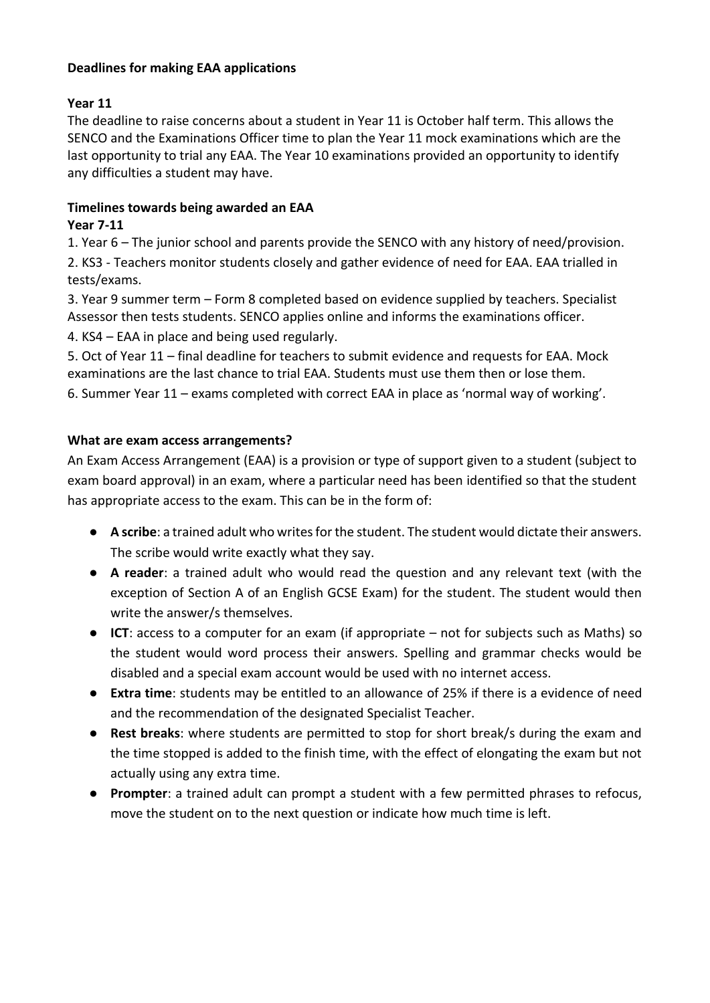### **Deadlines for making EAA applications**

# **Year 11**

The deadline to raise concerns about a student in Year 11 is October half term. This allows the SENCO and the Examinations Officer time to plan the Year 11 mock examinations which are the last opportunity to trial any EAA. The Year 10 examinations provided an opportunity to identify any difficulties a student may have.

# **Timelines towards being awarded an EAA**

# **Year 7-11**

1. Year 6 – The junior school and parents provide the SENCO with any history of need/provision. 2. KS3 - Teachers monitor students closely and gather evidence of need for EAA. EAA trialled in tests/exams.

3. Year 9 summer term – Form 8 completed based on evidence supplied by teachers. Specialist Assessor then tests students. SENCO applies online and informs the examinations officer.

4. KS4 – EAA in place and being used regularly.

5. Oct of Year 11 – final deadline for teachers to submit evidence and requests for EAA. Mock examinations are the last chance to trial EAA. Students must use them then or lose them.

6. Summer Year 11 – exams completed with correct EAA in place as 'normal way of working'.

# **What are exam access arrangements?**

An Exam Access Arrangement (EAA) is a provision or type of support given to a student (subject to exam board approval) in an exam, where a particular need has been identified so that the student has appropriate access to the exam. This can be in the form of:

- **A scribe**: a trained adult who writes for the student. The student would dictate their answers. The scribe would write exactly what they say.
- **A reader**: a trained adult who would read the question and any relevant text (with the exception of Section A of an English GCSE Exam) for the student. The student would then write the answer/s themselves.
- **ICT**: access to a computer for an exam (if appropriate not for subjects such as Maths) so the student would word process their answers. Spelling and grammar checks would be disabled and a special exam account would be used with no internet access.
- **Extra time**: students may be entitled to an allowance of 25% if there is a evidence of need and the recommendation of the designated Specialist Teacher.
- **Rest breaks**: where students are permitted to stop for short break/s during the exam and the time stopped is added to the finish time, with the effect of elongating the exam but not actually using any extra time.
- **Prompter**: a trained adult can prompt a student with a few permitted phrases to refocus, move the student on to the next question or indicate how much time is left.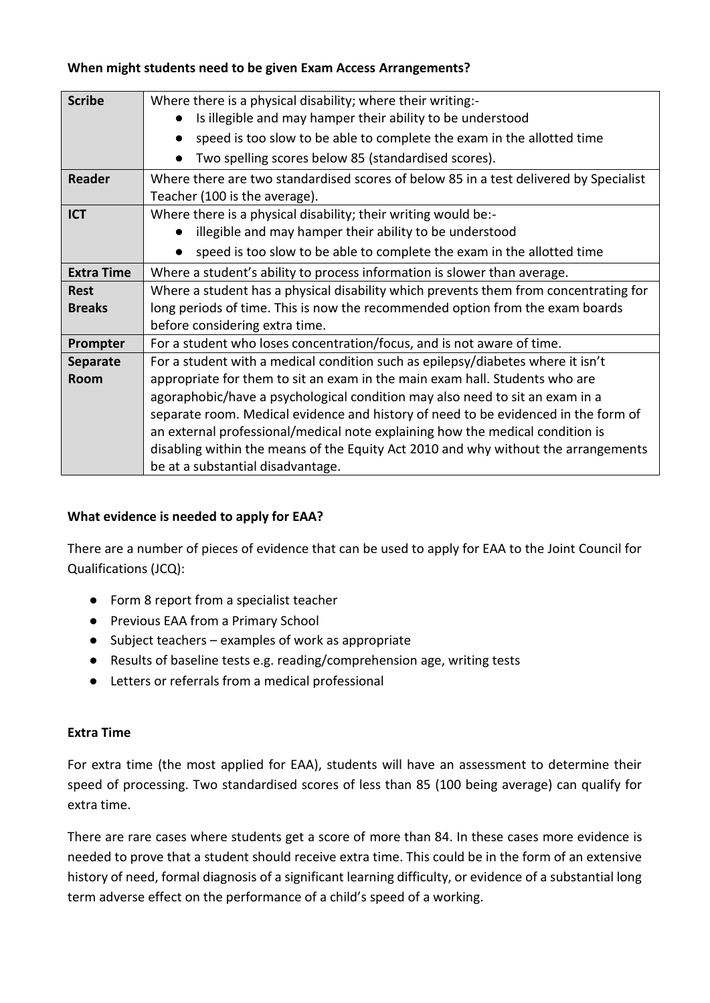#### **Scribe** Where there is a physical disability; where their writing:-● Is illegible and may hamper their ability to be understood ● speed is too slow to be able to complete the exam in the allotted time ● Two spelling scores below 85 (standardised scores). **Reader** Where there are two standardised scores of below 85 in a test delivered by Specialist Teacher (100 is the average). **ICT** Where there is a physical disability; their writing would be:-● illegible and may hamper their ability to be understood ● speed is too slow to be able to complete the exam in the allotted time **Extra Time** Where a student's ability to process information is slower than average. **Rest Breaks** Where a student has a physical disability which prevents them from concentrating for long periods of time. This is now the recommended option from the exam boards before considering extra time. **Prompter** For a student who loses concentration/focus, and is not aware of time. **Separate Room** For a student with a medical condition such as epilepsy/diabetes where it isn't appropriate for them to sit an exam in the main exam hall. Students who are agoraphobic/have a psychological condition may also need to sit an exam in a separate room. Medical evidence and history of need to be evidenced in the form of an external professional/medical note explaining how the medical condition is disabling within the means of the Equity Act 2010 and why without the arrangements be at a substantial disadvantage.

# **When might students need to be given Exam Access Arrangements?**

# **What evidence is needed to apply for EAA?**

There are a number of pieces of evidence that can be used to apply for EAA to the Joint Council for Qualifications (JCQ):

- Form 8 report from a specialist teacher
- Previous EAA from a Primary School
- Subject teachers examples of work as appropriate
- Results of baseline tests e.g. reading/comprehension age, writing tests
- Letters or referrals from a medical professional

# **Extra Time**

For extra time (the most applied for EAA), students will have an assessment to determine their speed of processing. Two standardised scores of less than 85 (100 being average) can qualify for extra time.

There are rare cases where students get a score of more than 84. In these cases more evidence is needed to prove that a student should receive extra time. This could be in the form of an extensive history of need, formal diagnosis of a significant learning difficulty, or evidence of a substantial long term adverse effect on the performance of a child's speed of a working.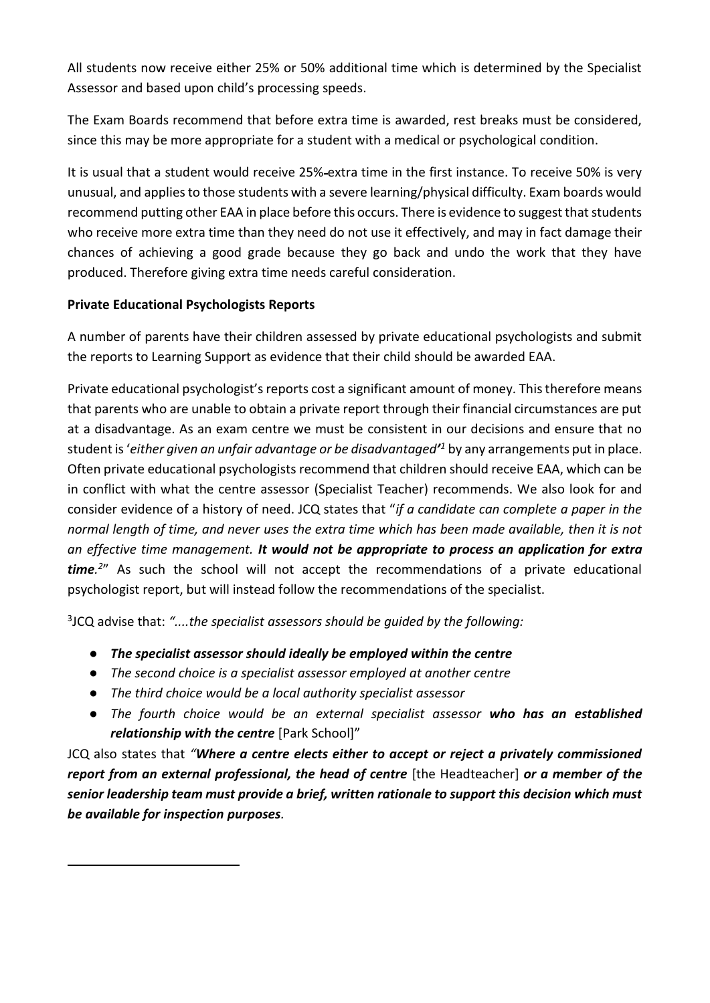All students now receive either 25% or 50% additional time which is determined by the Specialist Assessor and based upon child's processing speeds.

The Exam Boards recommend that before extra time is awarded, rest breaks must be considered, since this may be more appropriate for a student with a medical or psychological condition.

It is usual that a student would receive 25% extra time in the first instance. To receive 50% is very unusual, and applies to those students with a severe learning/physical difficulty. Exam boards would recommend putting other EAA in place before this occurs. There is evidence to suggest that students who receive more extra time than they need do not use it effectively, and may in fact damage their chances of achieving a good grade because they go back and undo the work that they have produced. Therefore giving extra time needs careful consideration.

# **Private Educational Psychologists Reports**

A number of parents have their children assessed by private educational psychologists and submit the reports to Learning Support as evidence that their child should be awarded EAA.

Private educational psychologist's reports cost a significant amount of money. This therefore means that parents who are unable to obtain a private report through their financial circumstances are put at a disadvantage. As an exam centre we must be consistent in our decisions and ensure that no student is '*either given an unfair advantage or be disadvantaged' <sup>1</sup>* by any arrangements put in place. Often private educational psychologists recommend that children should receive EAA, which can be in conflict with what the centre assessor (Specialist Teacher) recommends. We also look for and consider evidence of a history of need. JCQ states that "*if a candidate can complete a paper in the normal length of time, and never uses the extra time which has been made available, then it is not an effective time management. It would not be appropriate to process an application for extra time. 2* " As such the school will not accept the recommendations of a private educational psychologist report, but will instead follow the recommendations of the specialist.

3 JCQ advise that: *"....the specialist assessors should be guided by the following:*

- *The specialist assessor should ideally be employed within the centre*
- *The second choice is a specialist assessor employed at another centre*
- *The third choice would be a local authority specialist assessor*
- *The fourth choice would be an external specialist assessor who has an established relationship with the centre* [Park School]"

JCQ also states that *"Where a centre elects either to accept or reject a privately commissioned report from an external professional, the head of centre* [the Headteacher] *or a member of the senior leadership team must provide a brief, written rationale to support this decision which must be available for inspection purposes.*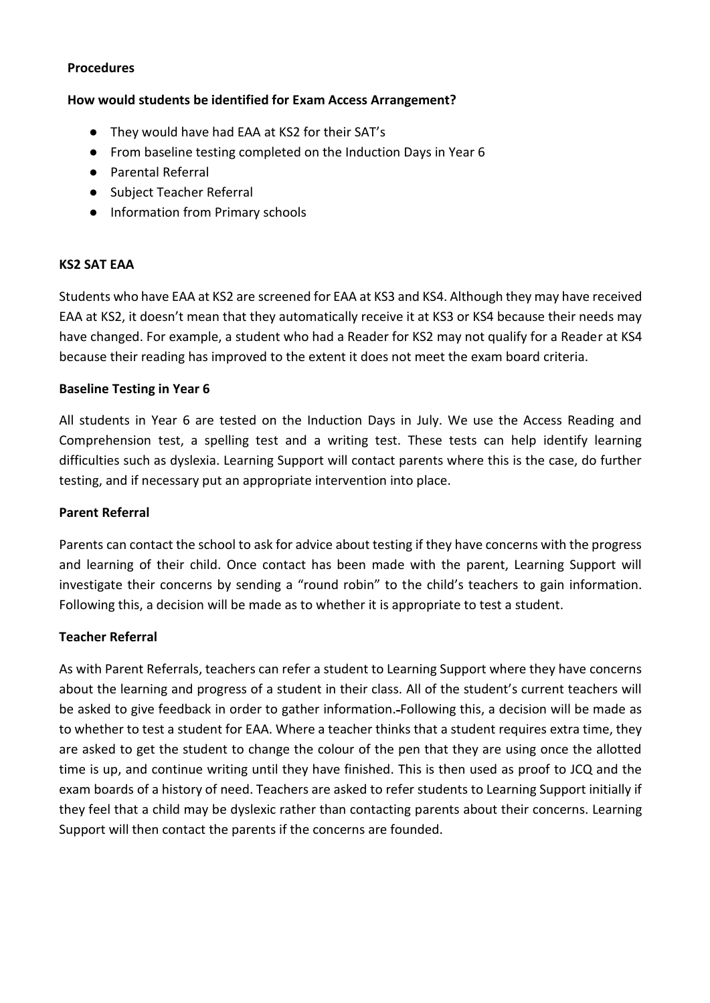#### **Procedures**

#### **How would students be identified for Exam Access Arrangement?**

- They would have had EAA at KS2 for their SAT's
- From baseline testing completed on the Induction Days in Year 6
- Parental Referral
- Subject Teacher Referral
- Information from Primary schools

#### **KS2 SAT EAA**

Students who have EAA at KS2 are screened for EAA at KS3 and KS4. Although they may have received EAA at KS2, it doesn't mean that they automatically receive it at KS3 or KS4 because their needs may have changed. For example, a student who had a Reader for KS2 may not qualify for a Reader at KS4 because their reading has improved to the extent it does not meet the exam board criteria.

#### **Baseline Testing in Year 6**

All students in Year 6 are tested on the Induction Days in July. We use the Access Reading and Comprehension test, a spelling test and a writing test. These tests can help identify learning difficulties such as dyslexia. Learning Support will contact parents where this is the case, do further testing, and if necessary put an appropriate intervention into place.

#### **Parent Referral**

Parents can contact the school to ask for advice about testing if they have concerns with the progress and learning of their child. Once contact has been made with the parent, Learning Support will investigate their concerns by sending a "round robin" to the child's teachers to gain information. Following this, a decision will be made as to whether it is appropriate to test a student.

# **Teacher Referral**

As with Parent Referrals, teachers can refer a student to Learning Support where they have concerns about the learning and progress of a student in their class. All of the student's current teachers will be asked to give feedback in order to gather information. Following this, a decision will be made as to whether to test a student for EAA. Where a teacher thinks that a student requires extra time, they are asked to get the student to change the colour of the pen that they are using once the allotted time is up, and continue writing until they have finished. This is then used as proof to JCQ and the exam boards of a history of need. Teachers are asked to refer students to Learning Support initially if they feel that a child may be dyslexic rather than contacting parents about their concerns. Learning Support will then contact the parents if the concerns are founded.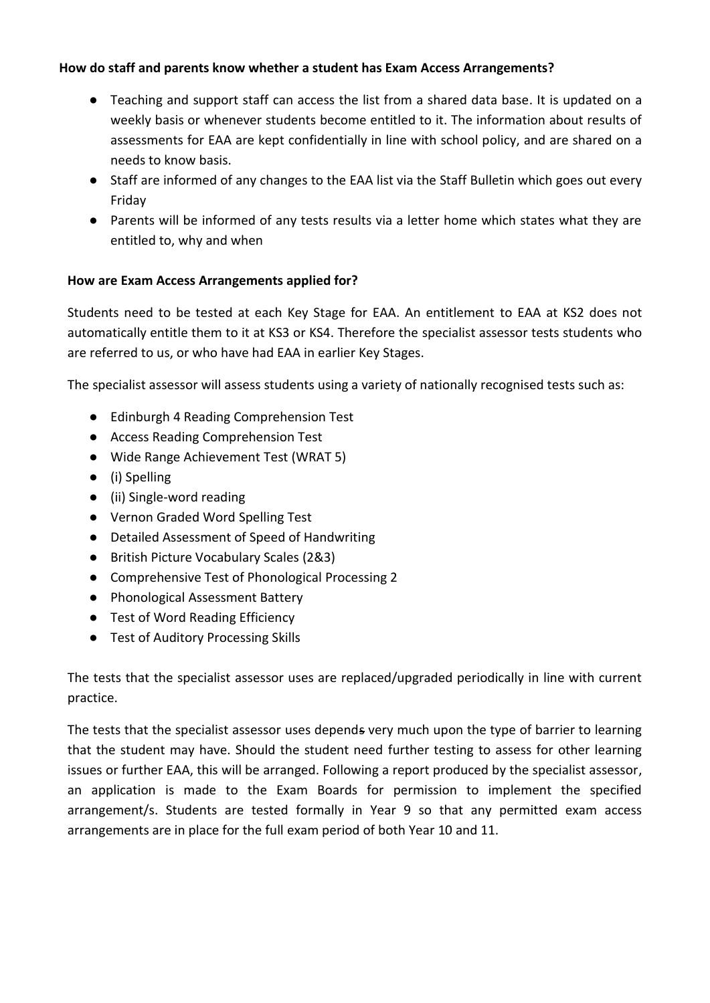### **How do staff and parents know whether a student has Exam Access Arrangements?**

- Teaching and support staff can access the list from a shared data base. It is updated on a weekly basis or whenever students become entitled to it. The information about results of assessments for EAA are kept confidentially in line with school policy, and are shared on a needs to know basis.
- Staff are informed of any changes to the EAA list via the Staff Bulletin which goes out every Friday
- Parents will be informed of any tests results via a letter home which states what they are entitled to, why and when

# **How are Exam Access Arrangements applied for?**

Students need to be tested at each Key Stage for EAA. An entitlement to EAA at KS2 does not automatically entitle them to it at KS3 or KS4. Therefore the specialist assessor tests students who are referred to us, or who have had EAA in earlier Key Stages.

The specialist assessor will assess students using a variety of nationally recognised tests such as:

- Edinburgh 4 Reading Comprehension Test
- Access Reading Comprehension Test
- Wide Range Achievement Test (WRAT 5)
- (i) Spelling
- (ii) Single-word reading
- Vernon Graded Word Spelling Test
- Detailed Assessment of Speed of Handwriting
- British Picture Vocabulary Scales (2&3)
- Comprehensive Test of Phonological Processing 2
- Phonological Assessment Battery
- Test of Word Reading Efficiency
- Test of Auditory Processing Skills

The tests that the specialist assessor uses are replaced/upgraded periodically in line with current practice.

The tests that the specialist assessor uses depends very much upon the type of barrier to learning that the student may have. Should the student need further testing to assess for other learning issues or further EAA, this will be arranged. Following a report produced by the specialist assessor, an application is made to the Exam Boards for permission to implement the specified arrangement/s. Students are tested formally in Year 9 so that any permitted exam access arrangements are in place for the full exam period of both Year 10 and 11.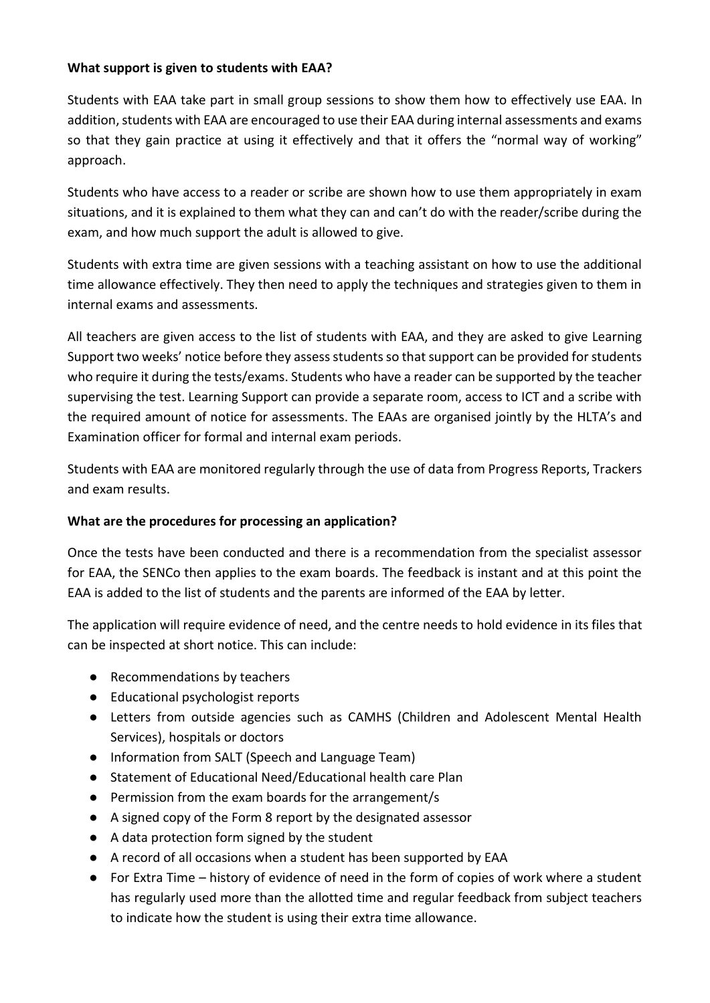### **What support is given to students with EAA?**

Students with EAA take part in small group sessions to show them how to effectively use EAA. In addition, students with EAA are encouraged to use their EAA during internal assessments and exams so that they gain practice at using it effectively and that it offers the "normal way of working" approach.

Students who have access to a reader or scribe are shown how to use them appropriately in exam situations, and it is explained to them what they can and can't do with the reader/scribe during the exam, and how much support the adult is allowed to give.

Students with extra time are given sessions with a teaching assistant on how to use the additional time allowance effectively. They then need to apply the techniques and strategies given to them in internal exams and assessments.

All teachers are given access to the list of students with EAA, and they are asked to give Learning Support two weeks' notice before they assess students so that support can be provided for students who require it during the tests/exams. Students who have a reader can be supported by the teacher supervising the test. Learning Support can provide a separate room, access to ICT and a scribe with the required amount of notice for assessments. The EAAs are organised jointly by the HLTA's and Examination officer for formal and internal exam periods.

Students with EAA are monitored regularly through the use of data from Progress Reports, Trackers and exam results.

# **What are the procedures for processing an application?**

Once the tests have been conducted and there is a recommendation from the specialist assessor for EAA, the SENCo then applies to the exam boards. The feedback is instant and at this point the EAA is added to the list of students and the parents are informed of the EAA by letter.

The application will require evidence of need, and the centre needs to hold evidence in its files that can be inspected at short notice. This can include:

- Recommendations by teachers
- Educational psychologist reports
- Letters from outside agencies such as CAMHS (Children and Adolescent Mental Health Services), hospitals or doctors
- Information from SALT (Speech and Language Team)
- Statement of Educational Need/Educational health care Plan
- Permission from the exam boards for the arrangement/s
- A signed copy of the Form 8 report by the designated assessor
- A data protection form signed by the student
- A record of all occasions when a student has been supported by EAA
- For Extra Time history of evidence of need in the form of copies of work where a student has regularly used more than the allotted time and regular feedback from subject teachers to indicate how the student is using their extra time allowance.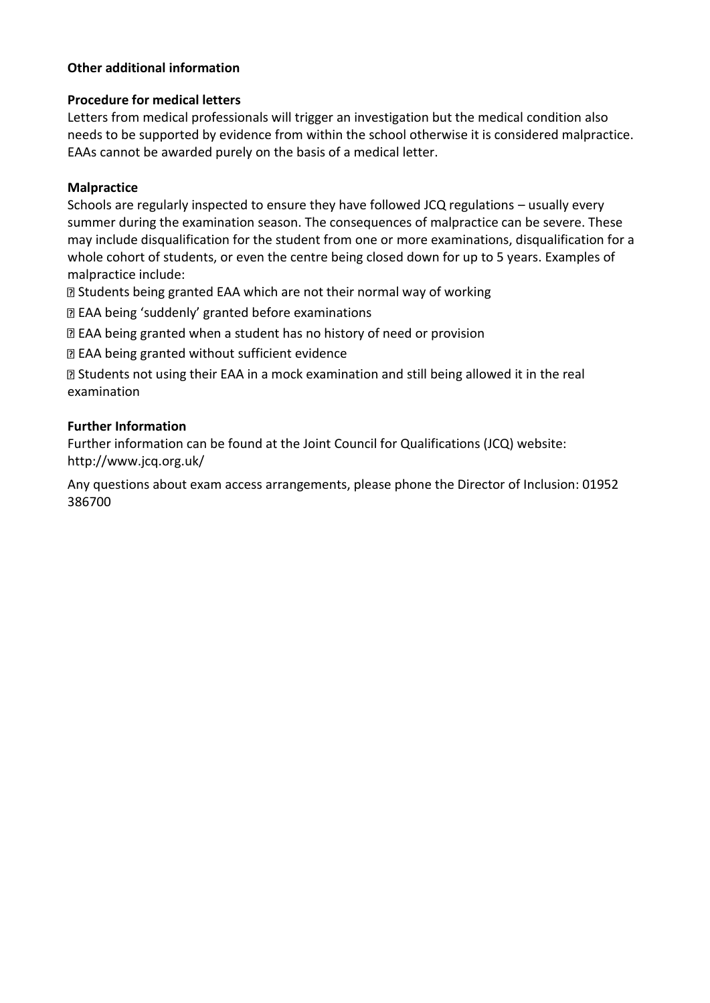# **Other additional information**

### **Procedure for medical letters**

Letters from medical professionals will trigger an investigation but the medical condition also needs to be supported by evidence from within the school otherwise it is considered malpractice. EAAs cannot be awarded purely on the basis of a medical letter.

#### **Malpractice**

Schools are regularly inspected to ensure they have followed JCQ regulations – usually every summer during the examination season. The consequences of malpractice can be severe. These may include disqualification for the student from one or more examinations, disqualification for a whole cohort of students, or even the centre being closed down for up to 5 years. Examples of malpractice include:

Students being granted EAA which are not their normal way of working

EAA being 'suddenly' granted before examinations

EAA being granted when a student has no history of need or provision

EAA being granted without sufficient evidence

Students not using their EAA in a mock examination and still being allowed it in the real examination

#### **Further Information**

Further information can be found at the Joint Council for Qualifications (JCQ) website: http://www.jcq.org.uk/

Any questions about exam access arrangements, please phone the Director of Inclusion: 01952 386700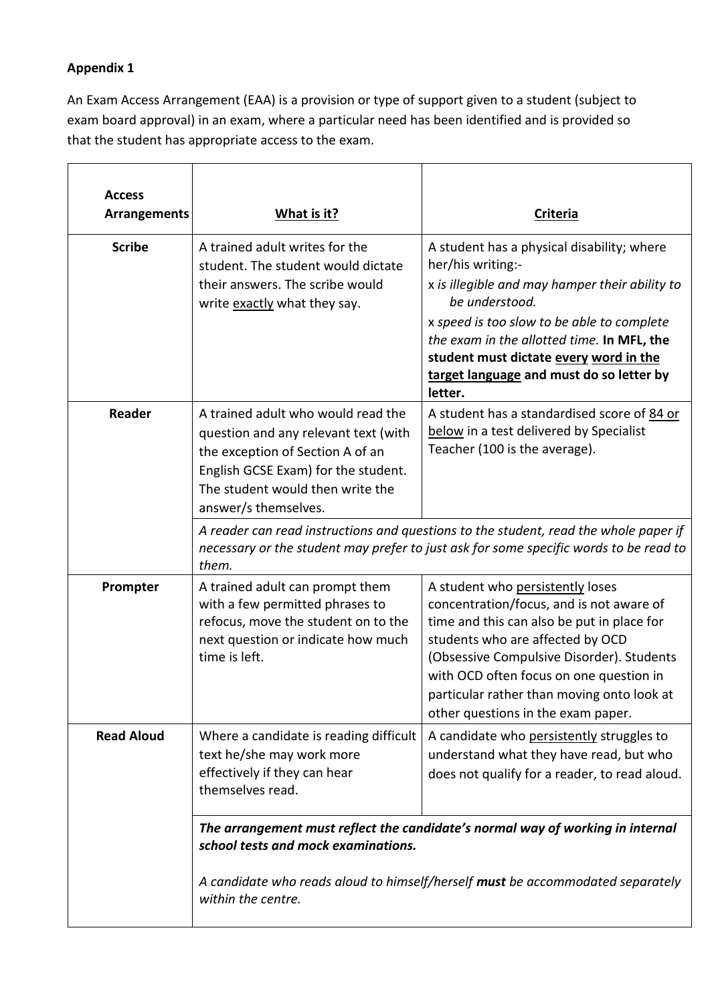# **Appendix 1**

An Exam Access Arrangement (EAA) is a provision or type of support given to a student (subject to exam board approval) in an exam, where a particular need has been identified and is provided so that the student has appropriate access to the exam.

| <b>Access</b><br><b>Arrangements</b> | What is it?                                                                                                                                                                                                                   | <b>Criteria</b>                                                                                                                                                                                                                                                                                                                            |
|--------------------------------------|-------------------------------------------------------------------------------------------------------------------------------------------------------------------------------------------------------------------------------|--------------------------------------------------------------------------------------------------------------------------------------------------------------------------------------------------------------------------------------------------------------------------------------------------------------------------------------------|
| <b>Scribe</b>                        | A trained adult writes for the<br>student. The student would dictate<br>their answers. The scribe would<br>write exactly what they say.                                                                                       | A student has a physical disability; where<br>her/his writing:-<br>x is illegible and may hamper their ability to<br>be understood.<br>x speed is too slow to be able to complete<br>the exam in the allotted time. In MFL, the<br>student must dictate every word in the<br>target language and must do so letter by<br>letter.           |
| Reader                               | A trained adult who would read the<br>question and any relevant text (with<br>the exception of Section A of an<br>English GCSE Exam) for the student.<br>The student would then write the<br>answer/s themselves.             | A student has a standardised score of 84 or<br>below in a test delivered by Specialist<br>Teacher (100 is the average).                                                                                                                                                                                                                    |
|                                      | A reader can read instructions and questions to the student, read the whole paper if<br>necessary or the student may prefer to just ask for some specific words to be read to<br>them.                                        |                                                                                                                                                                                                                                                                                                                                            |
| Prompter                             | A trained adult can prompt them<br>with a few permitted phrases to<br>refocus, move the student on to the<br>next question or indicate how much<br>time is left.                                                              | A student who persistently loses<br>concentration/focus, and is not aware of<br>time and this can also be put in place for<br>students who are affected by OCD<br>(Obsessive Compulsive Disorder). Students<br>with OCD often focus on one question in<br>particular rather than moving onto look at<br>other questions in the exam paper. |
| <b>Read Aloud</b>                    | Where a candidate is reading difficult<br>text he/she may work more<br>effectively if they can hear<br>themselves read.                                                                                                       | A candidate who persistently struggles to<br>understand what they have read, but who<br>does not qualify for a reader, to read aloud.                                                                                                                                                                                                      |
|                                      | The arrangement must reflect the candidate's normal way of working in internal<br>school tests and mock examinations.<br>A candidate who reads aloud to himself/herself must be accommodated separately<br>within the centre. |                                                                                                                                                                                                                                                                                                                                            |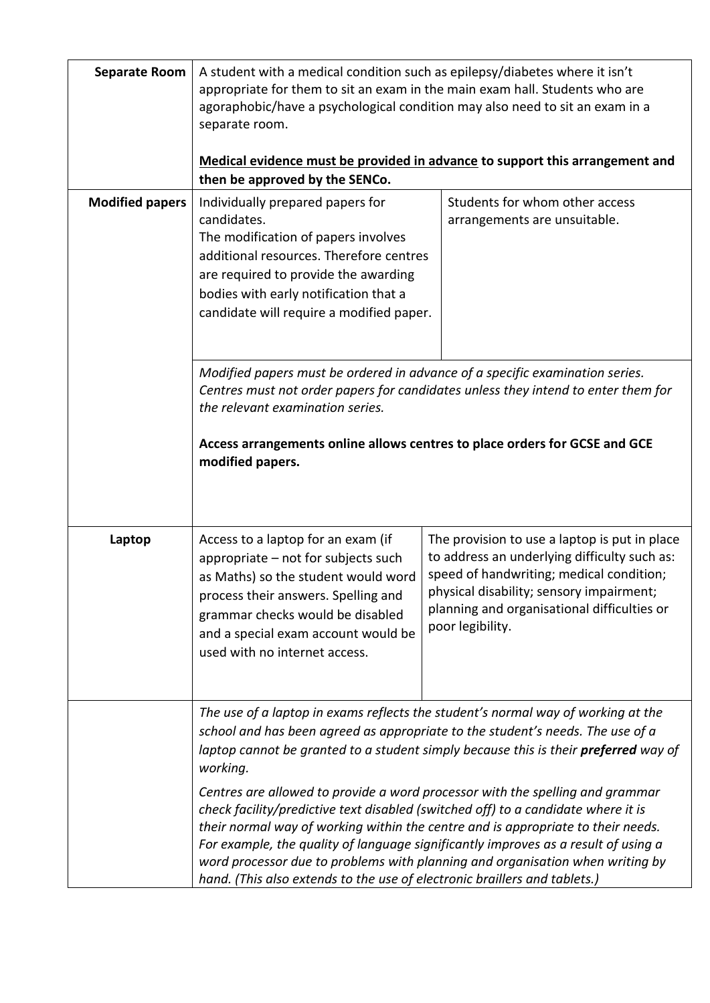| <b>Separate Room</b><br><b>Modified papers</b> | A student with a medical condition such as epilepsy/diabetes where it isn't<br>appropriate for them to sit an exam in the main exam hall. Students who are<br>agoraphobic/have a psychological condition may also need to sit an exam in a<br>separate room.<br>Medical evidence must be provided in advance to support this arrangement and<br>then be approved by the SENCo.<br>Students for whom other access<br>Individually prepared papers for |                                                                                                                                                                                                                                                                                                                                                                                                                                                                                                                                                                                                       |
|------------------------------------------------|------------------------------------------------------------------------------------------------------------------------------------------------------------------------------------------------------------------------------------------------------------------------------------------------------------------------------------------------------------------------------------------------------------------------------------------------------|-------------------------------------------------------------------------------------------------------------------------------------------------------------------------------------------------------------------------------------------------------------------------------------------------------------------------------------------------------------------------------------------------------------------------------------------------------------------------------------------------------------------------------------------------------------------------------------------------------|
|                                                | candidates.<br>The modification of papers involves<br>additional resources. Therefore centres<br>are required to provide the awarding<br>bodies with early notification that a<br>candidate will require a modified paper.                                                                                                                                                                                                                           | arrangements are unsuitable.                                                                                                                                                                                                                                                                                                                                                                                                                                                                                                                                                                          |
|                                                | Modified papers must be ordered in advance of a specific examination series.<br>Centres must not order papers for candidates unless they intend to enter them for<br>the relevant examination series.<br>Access arrangements online allows centres to place orders for GCSE and GCE<br>modified papers.                                                                                                                                              |                                                                                                                                                                                                                                                                                                                                                                                                                                                                                                                                                                                                       |
| Laptop                                         | Access to a laptop for an exam (if<br>appropriate - not for subjects such<br>as Maths) so the student would word<br>process their answers. Spelling and<br>grammar checks would be disabled<br>and a special exam account would be<br>used with no internet access.                                                                                                                                                                                  | The provision to use a laptop is put in place<br>to address an underlying difficulty such as:<br>speed of handwriting; medical condition;<br>physical disability; sensory impairment;<br>planning and organisational difficulties or<br>poor legibility.                                                                                                                                                                                                                                                                                                                                              |
|                                                | working.<br>check facility/predictive text disabled (switched off) to a candidate where it is<br>hand. (This also extends to the use of electronic braillers and tablets.)                                                                                                                                                                                                                                                                           | The use of a laptop in exams reflects the student's normal way of working at the<br>school and has been agreed as appropriate to the student's needs. The use of a<br>laptop cannot be granted to a student simply because this is their preferred way of<br>Centres are allowed to provide a word processor with the spelling and grammar<br>their normal way of working within the centre and is appropriate to their needs.<br>For example, the quality of language significantly improves as a result of using a<br>word processor due to problems with planning and organisation when writing by |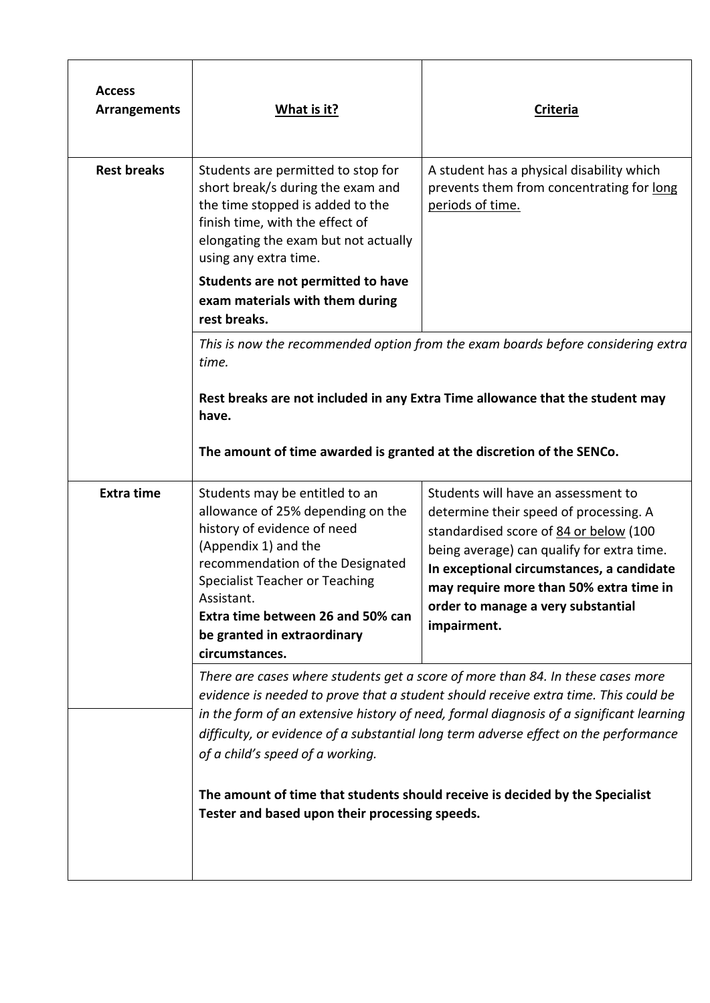| <b>Access</b><br><b>Arrangements</b> | What is it?                                                                                                                                                                                                                                                                                                                                                                                                                                                                                                                     | <b>Criteria</b>                                                                                                                                                                                                                                                                                                    |  |
|--------------------------------------|---------------------------------------------------------------------------------------------------------------------------------------------------------------------------------------------------------------------------------------------------------------------------------------------------------------------------------------------------------------------------------------------------------------------------------------------------------------------------------------------------------------------------------|--------------------------------------------------------------------------------------------------------------------------------------------------------------------------------------------------------------------------------------------------------------------------------------------------------------------|--|
| <b>Rest breaks</b>                   | Students are permitted to stop for<br>short break/s during the exam and<br>the time stopped is added to the<br>finish time, with the effect of<br>elongating the exam but not actually<br>using any extra time.                                                                                                                                                                                                                                                                                                                 | A student has a physical disability which<br>prevents them from concentrating for long<br>periods of time.                                                                                                                                                                                                         |  |
|                                      | Students are not permitted to have<br>exam materials with them during<br>rest breaks.                                                                                                                                                                                                                                                                                                                                                                                                                                           |                                                                                                                                                                                                                                                                                                                    |  |
|                                      | time.                                                                                                                                                                                                                                                                                                                                                                                                                                                                                                                           | This is now the recommended option from the exam boards before considering extra                                                                                                                                                                                                                                   |  |
|                                      | Rest breaks are not included in any Extra Time allowance that the student may<br>have.                                                                                                                                                                                                                                                                                                                                                                                                                                          |                                                                                                                                                                                                                                                                                                                    |  |
|                                      | The amount of time awarded is granted at the discretion of the SENCo.                                                                                                                                                                                                                                                                                                                                                                                                                                                           |                                                                                                                                                                                                                                                                                                                    |  |
| <b>Extra time</b>                    | Students may be entitled to an<br>allowance of 25% depending on the<br>history of evidence of need<br>(Appendix 1) and the<br>recommendation of the Designated<br><b>Specialist Teacher or Teaching</b><br>Assistant.<br>Extra time between 26 and 50% can<br>be granted in extraordinary<br>circumstances.                                                                                                                                                                                                                     | Students will have an assessment to<br>determine their speed of processing. A<br>standardised score of 84 or below (100<br>being average) can qualify for extra time.<br>In exceptional circumstances, a candidate<br>may require more than 50% extra time in<br>order to manage a very substantial<br>impairment. |  |
|                                      | There are cases where students get a score of more than 84. In these cases more<br>evidence is needed to prove that a student should receive extra time. This could be<br>in the form of an extensive history of need, formal diagnosis of a significant learning<br>difficulty, or evidence of a substantial long term adverse effect on the performance<br>of a child's speed of a working.<br>The amount of time that students should receive is decided by the Specialist<br>Tester and based upon their processing speeds. |                                                                                                                                                                                                                                                                                                                    |  |
|                                      |                                                                                                                                                                                                                                                                                                                                                                                                                                                                                                                                 |                                                                                                                                                                                                                                                                                                                    |  |
|                                      |                                                                                                                                                                                                                                                                                                                                                                                                                                                                                                                                 |                                                                                                                                                                                                                                                                                                                    |  |
|                                      |                                                                                                                                                                                                                                                                                                                                                                                                                                                                                                                                 |                                                                                                                                                                                                                                                                                                                    |  |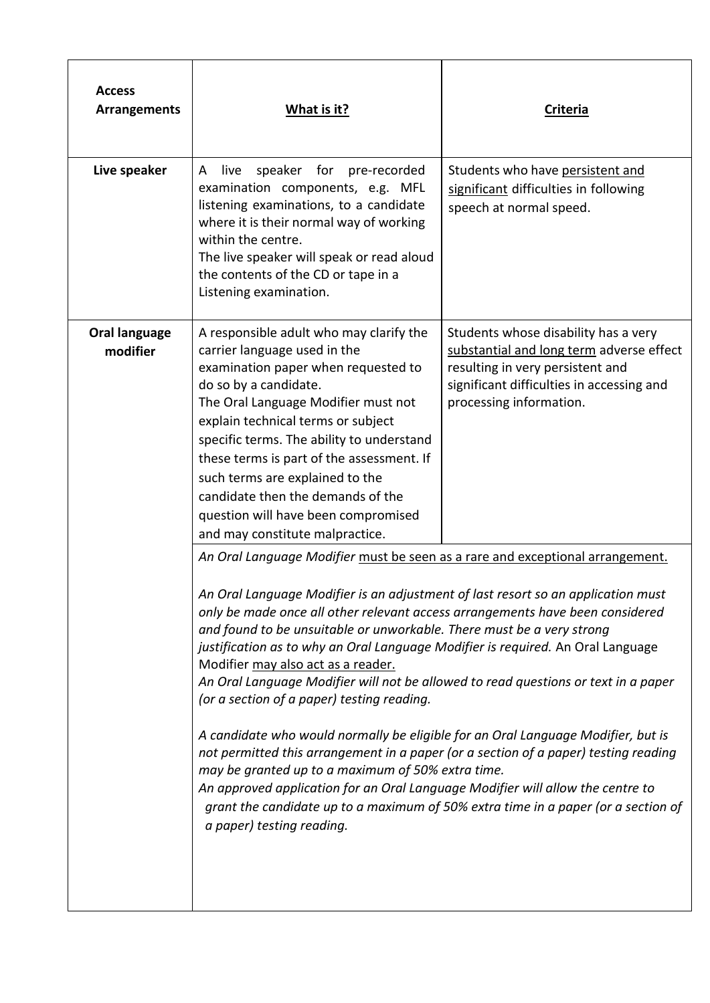| <b>Access</b><br><b>Arrangements</b> | What is it?                                                                                                                                                                                                                                                                                                                                                                                                                                                                                                                                                                                                                                                                                                                                                                                                                                                                                                                                                                                                                  | Criteria                                                                                                                                                                                     |
|--------------------------------------|------------------------------------------------------------------------------------------------------------------------------------------------------------------------------------------------------------------------------------------------------------------------------------------------------------------------------------------------------------------------------------------------------------------------------------------------------------------------------------------------------------------------------------------------------------------------------------------------------------------------------------------------------------------------------------------------------------------------------------------------------------------------------------------------------------------------------------------------------------------------------------------------------------------------------------------------------------------------------------------------------------------------------|----------------------------------------------------------------------------------------------------------------------------------------------------------------------------------------------|
| Live speaker                         | live<br>speaker for pre-recorded<br>A<br>examination components, e.g. MFL<br>listening examinations, to a candidate<br>where it is their normal way of working<br>within the centre.<br>The live speaker will speak or read aloud<br>the contents of the CD or tape in a<br>Listening examination.                                                                                                                                                                                                                                                                                                                                                                                                                                                                                                                                                                                                                                                                                                                           | Students who have persistent and<br>significant difficulties in following<br>speech at normal speed.                                                                                         |
| Oral language<br>modifier            | A responsible adult who may clarify the<br>carrier language used in the<br>examination paper when requested to<br>do so by a candidate.<br>The Oral Language Modifier must not<br>explain technical terms or subject<br>specific terms. The ability to understand<br>these terms is part of the assessment. If<br>such terms are explained to the<br>candidate then the demands of the<br>question will have been compromised<br>and may constitute malpractice.                                                                                                                                                                                                                                                                                                                                                                                                                                                                                                                                                             | Students whose disability has a very<br>substantial and long term adverse effect<br>resulting in very persistent and<br>significant difficulties in accessing and<br>processing information. |
|                                      | An Oral Language Modifier must be seen as a rare and exceptional arrangement.<br>An Oral Language Modifier is an adjustment of last resort so an application must<br>only be made once all other relevant access arrangements have been considered<br>and found to be unsuitable or unworkable. There must be a very strong<br>justification as to why an Oral Language Modifier is required. An Oral Language<br>Modifier may also act as a reader.<br>An Oral Language Modifier will not be allowed to read questions or text in a paper<br>(or a section of a paper) testing reading.<br>A candidate who would normally be eligible for an Oral Language Modifier, but is<br>not permitted this arrangement in a paper (or a section of a paper) testing reading<br>may be granted up to a maximum of 50% extra time.<br>An approved application for an Oral Language Modifier will allow the centre to<br>grant the candidate up to a maximum of 50% extra time in a paper (or a section of<br>a paper) testing reading. |                                                                                                                                                                                              |